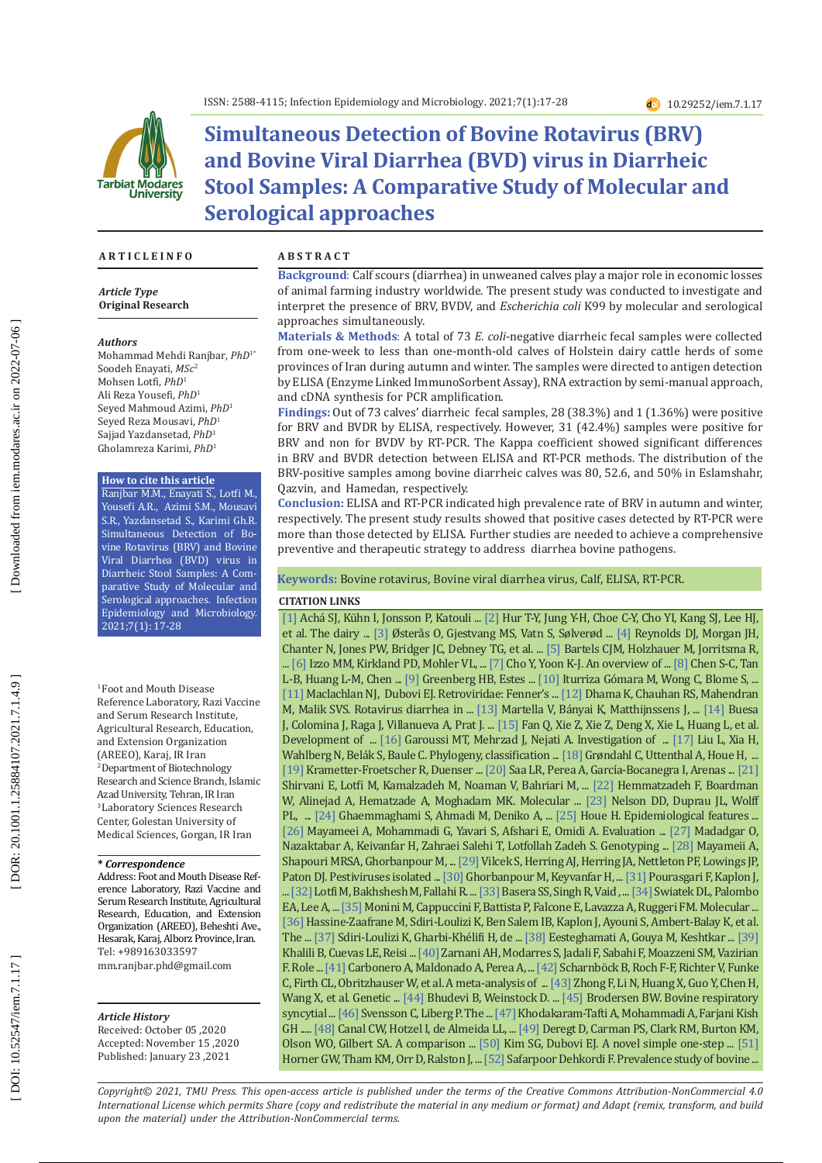

# **Simultaneous Detection of Bovine Rotavirus (BRV) and Bovine Viral Diarrhea (BVD) virus in Diarrheic Stool Samples: A Comparative Study of Molecular and Serological approaches**

### **A R T I C L E I N F O**

*Article Type* **Original Research**

#### *Authors*

Mohammad Mehdi Ranjbar, *PhD*1\* Soodeh Enayati, *MSc* 2 Mohsen Lotfi, *PhD* 1 Ali Reza Yousefi, *PhD* 1 Seyed Mahmoud Azimi, *PhD* 1 Seyed Reza Mousavi, *PhD* 1 Sajjad Yazdansetad, *PhD* 3 Gholamreza Karimi, *PhD* 1

### **How to cite this article**

Ranjbar M.M., Enayati S., Lotfi M., Yousefi A.R., Azimi S.M., Mousavi S.R., Yazdansetad S., Karimi Gh.R. Simultaneous Detection of Bo vine Rotavirus (BRV) and Bovine Viral Diarrhea (BVD) virus in Diarrheic Stool Samples: A Com parative Study of Molecular and Serological approaches. Infection Epidemiology and Microbiology. 2021;7(1): 17-28

<sup>1</sup> Foot and Mouth Disease Reference Laboratory, Razi Vaccine and Serum Research Institute, Agricultural Research, Education, and Extension Organization (AREEO), Karaj, IR Iran 2 Department of Biotechnology Research and Science Branch, Islamic Azad University, Tehran, IR Iran 3 Laboratory Sciences Research Center, Golestan University of Medical Sciences, Gorgan, IR Iran

### **\*** *Correspondence*

Address: Foot and Mouth Disease Reference Laboratory, Razi Vaccine and Serum Research Institute, Agricultural Research, Education, and Extension Organization (AREEO), Beheshti Ave., Hesarak, Karaj, Alborz Province, Iran. Tel: +989163033597 mm.ranjbar.phd@gmail.com

### *Article History*

Received: October 05 ,2020 Accepted: November 15 ,2020 Published: January 23 ,2021

### **A B S T R A C T**

**Background** : Calf scours (diarrhea) in unweaned calves play a major role in economic losses of animal farming industry worldwide. The present study was conducted to investigate and interpret the presence of BRV, BVDV, and *Escherichia coli* K99 by molecular and serological approaches simultaneously.

**Materials & Methods** : A total of 73 *E. coli*-negative diarrheic fecal samples were collected from one-week to less than one-month-old calves of Holstein dairy cattle herds of some provinces of Iran during autumn and winter. The samples were directed to antigen detection by ELISA (Enzyme Linked ImmunoSorbent Assay), RNA extraction by semi-manual approach, and cDNA synthesis for PCR amplification.

**Findings:** Out of 73 calves' diarrheic fecal samples, 28 (38.3%) and 1 (1.36%) were positive for BRV and BVDR by ELISA, respectively. However, 31 (42.4%) samples were positive for BRV and non for BVDV by RT-PCR. The Kappa coefficient showed significant differences in BRV and BVDR detection between ELISA and RT-PCR methods. The distribution of the BRV-positive samples among bovine diarrheic calves was 80, 52.6, and 50% in Eslamshahr, Qazvin, and Hamedan, respectively.

**Conclusion:** ELISA and RT-PCR indicated high prevalence rate of BRV in autumn and winter, respectively. The present study results showed that positive cases detected by RT-PCR were more than those detected by ELISA. Further studies are needed to achieve a comprehensive preventive and therapeutic strategy to address diarrhea bovine pathogens.

### **Keywords:** Bovine rotavirus, Bovine viral diarrhea virus, Calf, ELISA, RT-PCR.

### **CITATION LINKS**

L-B, Huang L-M, Chen ... [\[9\]](https://www.sciencedirect.com/science/article/pii/S0016508509003631) Greenberg HB, Estes ... [\[10\]](https://www.sciencedirect.com/science/article/pii/S0166093402000873) Iturriza Gómara M, Wong C, Blome S, ... [\[1\]](https://actavetscand.biomedcentral.com/articles/10.1186/1751-0147-45-27) Achá SJ, Kühn I, Jonsson P, Katouli ... [\[2\] H](https://www.koreascience.or.kr/article/JAKO201332479081101.page)ur T-Y, Jung Y-H, Choe C-Y, Cho YI, Kang SJ, Lee HJ, et al. The dairy ... [\[3\]](https://link.springer.com/article/10.1186/1751-0147-49-S1-S14) Østerås O, Gjestvang MS, Vatn S, Sølverød ... [\[4\]](https://www.researchgate.net/profile/Jeremy_Morgan/publication/19410703_Microbiology_of_calf_diarrhea_in_southern_Britain/links/552f81280cf2d495071ab417.pdf) Reynolds DJ, Morgan JH, Chanter N, Jones PW, Bridger JC, Debney TG, et al. ... [\[5\]](https://www.sciencedirect.com/science/article/pii/S016758770900292X) Bartels CJM, Holzhauer M, Jorritsma R, ... [\[6\]](https://onlinelibrary.wiley.com/doi/abs/10.1111/j.1751-0813.2011.00692.x) Izzo MM, Kirkland PD, Mohler VL, ... [\[7\]](https://www.ncbi.nlm.nih.gov/pmc/articles/PMC3973752/) Cho Y, Yoon K-J. An overview of ... [\[8\]](https://www.sciencedirect.com/science/article/pii/S0929664612000952) Chen S-C, Tan [\[11\]](https://www.elsevier.com/books/fenners-veterinary-virology/maclachlan/978-0-12-375158-4) Maclachlan NJ, Dubovi EJ. Retroviridae: Fenner's ... [\[12\]](https://link.springer.com/content/pdf/10.1007/s11259-008-9070-x.pdf) Dhama K, Chauhan RS, Mahendran M, Malik SVS. Rotavirus diarrhea in ... [\[13\]](https://pubmed.ncbi.nlm.nih.gov/19781872/) Martella V, Bányai K, Matthijnssens J, ... [\[14\]](https://pubmed.ncbi.nlm.nih.gov/8958588/) Buesa J, Colomina J, Raga J, Villanueva A, Prat J. ... [\[15\]](https://www.ncbi.nlm.nih.gov/pmc/articles/PMC5340399/) Fan Q, Xie Z, Xie Z, Deng X, Xie L, Huang L, et al. Development of ... [\[16\]](https://link.springer.com/article/10.1007/s11250-018-1765-6) Garoussi MT, Mehrzad J, Nejati A. Investigation of ... [\[17\]](https://www.sciencedirect.com/science/article/pii/S0042682208008040) Liu L, Xia H, Wahlberg N, Belák S, Baule C. Phylogeny, classification ... [\[18\]](https://link.springer.com/content/pdf/10.1007/s00705-003-0130-9.pdf) Grøndahl C, Uttenthal A, Houe H, ... [\[19\]](https://www.sciencedirect.com/science/article/pii/S1090023309003712) Krametter-Froetscher R, Duenser ... [\[20\]](https://link.springer.com/article/10.1007/s11250-011-9948-4) Saa LR, Perea A, García-Bocanegra I, Arenas ... [21] Shirvani E, Lotfi M, Kamalzadeh M, Noaman V, Bahriari M, ... [\[22\]](https://pubmed.ncbi.nlm.nih.gov/27997620/) Hemmatzadeh F, Boardman W, Alinejad A, Hematzade A, Moghadam MK. Molecular ... [\[23\]](https://www.frontiersin.org/articles/10.3389/fmicb.2015.01415/full) Nelson DD, Duprau JL, Wolff PL, ... [\[24\]](https://ijvst.um.ac.ir/article_26986.html?lang=en) Ghaemmaghami S, Ahmadi M, Deniko A, ... [\[25\]](https://www.sciencedirect.com/science/article/pii/S0378113598002624) Houe H. Epidemiological features ... [\[26\]](https://link.springer.com/content/pdf/10.1007/s00580-009-0920-x.pdf) Mayameei A, Mohammadi G, Yavari S, Afshari E, Omidi A. Evaluation ... [\[27\]](https://www.sciencedirect.com/science/article/pii/S0378113515001832) Madadgar O, Nazaktabar A, Keivanfar H, Zahraei Salehi T, Lotfollah Zadeh S. Genotyping ... [\[28\]](https://europepmc.org/article/med/19090172) Mayameii A, Shapouri MRSA, Ghorbanpour M, ... [\[29\] V](https://link.springer.com/content/pdf/10.1007/BF01321060.pdf)ilcek S, Herring AJ, Herring JA, Nettleton PF, Lowings JP, Paton DJ. Pestiviruses isolated ... [\[30\]](http://archrazi.areeo.ac.ir/article_103828_58.html) Ghorbanpour M, Keyvanfar H, ... [\[31\]](https://link.springer.com/article/10.1007/s00705-016-3051-0) Pourasgari F, Kaplon J, ... [\[32\]](https://archrazi.areeo.ac.ir/article_103984.html) Lotfi M, Bakhshesh M, Fallahi R. ... [\[33\]](https://link.springer.com/content/pdf/10.1007/s13337-010-0017-9.pdf) Basera SS, Singh R, Vaid , ... [\[34\]](https://www.sciencedirect.com/science/article/pii/S0378113509003423) Swiatek DL, Palombo EA, Lee A, ... [\[35\]](https://www.sciencedirect.com/science/article/pii/S0378113507006086) Monini M, Cappuccini F, Battista P, Falcone E, Lavazza A, Ruggeri FM. Molecular ... [\[36\]](https://link.springer.com/article/10.1186/1471-2334-11-266) Hassine-Zaafrane M, Sdiri-Loulizi K, Ben Salem IB, Kaplon J, Ayouni S, Ambert-Balay K, et al. The ... [\[37\]](https://jcm.asm.org/content/46/4/1349.short) Sdiri-Loulizi K, Gharbi-Khélifi H, de ... [\[38\]](https://pubmed.ncbi.nlm.nih.gov/19821714/) Eesteghamati A, Gouya M, Keshtkar ... [\[39\]](https://onlinelibrary.wiley.com/doi/abs/10.1002/jmv.20092)  Khalili B, Cuevas LE, Reisi ... [\[40\]](https://www.sciencedirect.com/science/article/pii/S1386653203001239) Zarnani AH, Modarres S, Jadali F, Sabahi F, Moazzeni SM, Vazirian F. Role ... [\[41\]](http://scielo.isciii.es/pdf/azoo/v60n229/art5.pdf) Carbonero A, Maldonado A, Perea A, ... [\[42\]](https://pubmed.ncbi.nlm.nih.gov/30258185/) Scharnböck B, Roch F-F, Richter V, Funke C, Firth CL, Obritzhauser W, et al. A meta-analysis of ... [\[43\]](https://link.springer.com/content/pdf/10.1007/s11262-010-0558-4.pdf) Zhong F, Li N, Huang X, Guo Y, Chen H, Wang X, et al. Genetic ... [\[44\]](https://www.sciencedirect.com/science/article/pii/S0166093403000405) Bhudevi B, Weinstock D. ... [\[45\]](https://www.vetfood.theclinics.com/article/S0749-0720\(10\)00016-2/abstract) Brodersen BW. Bovine respiratory syncytial ... [\[46\]](https://www.sciencedirect.com/science/article/pii/S0167587705002278) Svensson C, Liberg P. The ... [\[47\]](https://www.ncbi.nlm.nih.gov/pmc/articles/PMC5090137/) Khodakaram-Tafti A, Mohammadi A, Farjani Kish GH ..... [\[48\]](https://www.sciencedirect.com/science/article/pii/0378113595001565) Canal CW, Hotzel I, de Almeida LL, ... [\[49\]](https://journals.sagepub.com/doi/abs/10.1177/104063870201400516) Deregt D, Carman PS, Clark RM, Burton KM, Olson WO, Gilbert SA. A comparison ... [\[50\]](https://www.sciencedirect.com/science/article/pii/S104510560300023X) Kim SG, Dubovi EJ. A novel simple one-step ... [\[51\]](https://www.sciencedirect.com/science/article/pii/037811359400080G)  Horner GW, Tham KM, Orr D, Ralston J, ... [\[52\]](https://amb-express.springeropen.com/articles/10.1186/2191-0855-1-32) Safarpoor Dehkordi F. Prevalence study of bovine ..

*Copyright© 2021, TMU Press. This open-access article is published under the terms of the Creative Commons Attribution-NonCommercial 4.0 International License which permits Share (copy and redistribute the material in any medium or format) and Adapt (remix, transform, and build upon the material) under the Attribution-NonCommercial terms.*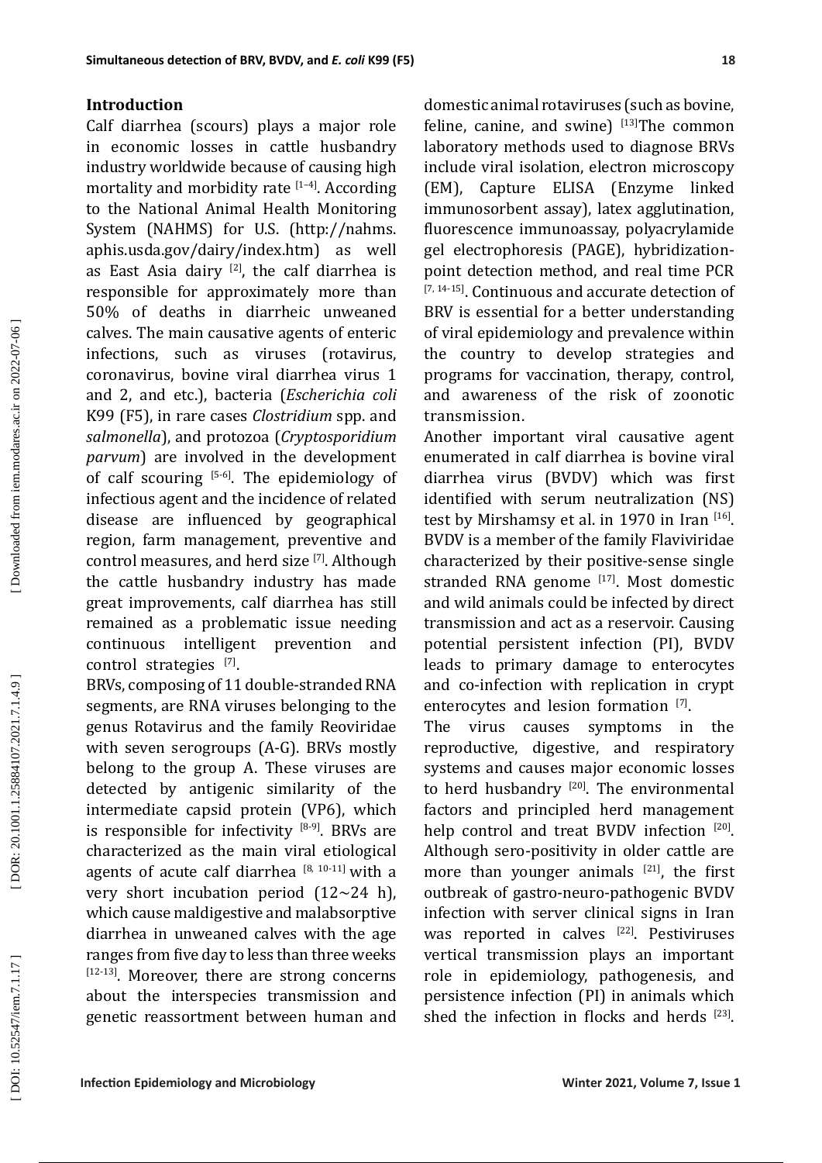## **Introduction**

Calf diarrhea (scours) plays a major role in economic losses in cattle husbandry industry worldwide because of causing high mortality and morbidity rate  $[1-4]$ . According to the National Animal Health Monitoring System (NAHMS) for U.S. (http://nahms. aphis.usda.gov/dairy/index.htm) as well as East Asia dairy  $[2]$ , the calf diarrhea is responsible for approximately more than 50% of deaths in diarrheic unweaned calves. The main causative agents of enteric infections, such as viruses (rotavirus, coronavirus, bovine viral diarrhea virus 1 and 2, and etc.), bacteria (*Escherichia coli* K99 (F5), in rare cases *Clostridium* spp. and *salmonella*), and protozoa (*Cryptosporidium parvum*) are involved in the development of calf scouring  $[5-6]$ . The epidemiology of infectious agent and the incidence of related disease are influenced by geographical region, farm management, preventive and control measures, and herd size [7]. Although the cattle husbandry industry has made great improvements, calf diarrhea has still remained as a problematic issue needing continuous intelligent prevention and  $control$  strategies  $^{[7]}$ .

BRVs, composing of 11 double-stranded RNA segments, are RNA viruses belonging to the genus Rotavirus and the family Reoviridae with seven serogroups (A-G). BRVs mostly belong to the group A. These viruses are detected by antigenic similarity of the intermediate capsid protein (VP6), which is responsible for infectivity  $[8-9]$ . BRVs are characterized as the main viral etiological agents of acute calf diarrhea  $[8, 10-11]$  with a very short incubation period (12∼24 h), which cause maldigestive and malabsorptive diarrhea in unweaned calves with the age ranges from five day to less than three weeks [12-13]. Moreover, there are strong concerns about the interspecies transmission and genetic reassortment between human and

domestic animal rotaviruses (such as bovine, feline, canine, and swine)  $[13]$ The common laboratory methods used to diagnose BRVs include viral isolation, electron microscopy (EM), Capture ELISA (Enzyme linked immunosorbent assay), latex agglutination, fluorescence immunoassay, polyacrylamide gel electrophoresis (PAGE), hybridizationpoint detection method, and real time PCR [7, 14-15]. Continuous and accurate detection of BRV is essential for a better understanding of viral epidemiology and prevalence within the country to develop strategies and programs for vaccination, therapy, control, and awareness of the risk of zoonotic transmission.

Another important viral causative agent enumerated in calf diarrhea is bovine viral diarrhea virus (BVDV) which was first identified with serum neutralization (NS) test by Mirshamsy et al. in 1970 in Iran [16]. BVDV is a member of the family Flaviviridae characterized by their positive-sense single stranded RNA genome [17]. Most domestic and wild animals could be infected by direct transmission and act as a reservoir. Causing potential persistent infection (PI), BVDV leads to primary damage to enterocytes and co-infection with replication in crypt enterocytes and lesion formation  $[7]$ .

The virus causes symptoms in the reproductive, digestive, and respiratory systems and causes major economic losses to herd husbandry  $[20]$ . The environmental factors and principled herd management help control and treat BVDV infection [20]. Although sero-positivity in older cattle are more than younger animals  $[21]$ , the first outbreak of gastro-neuro-pathogenic BVDV infection with server clinical signs in Iran was reported in calves [22]. Pestiviruses vertical transmission plays an important role in epidemiology, pathogenesis, and persistence infection (PI) in animals which shed the infection in flocks and herds [23].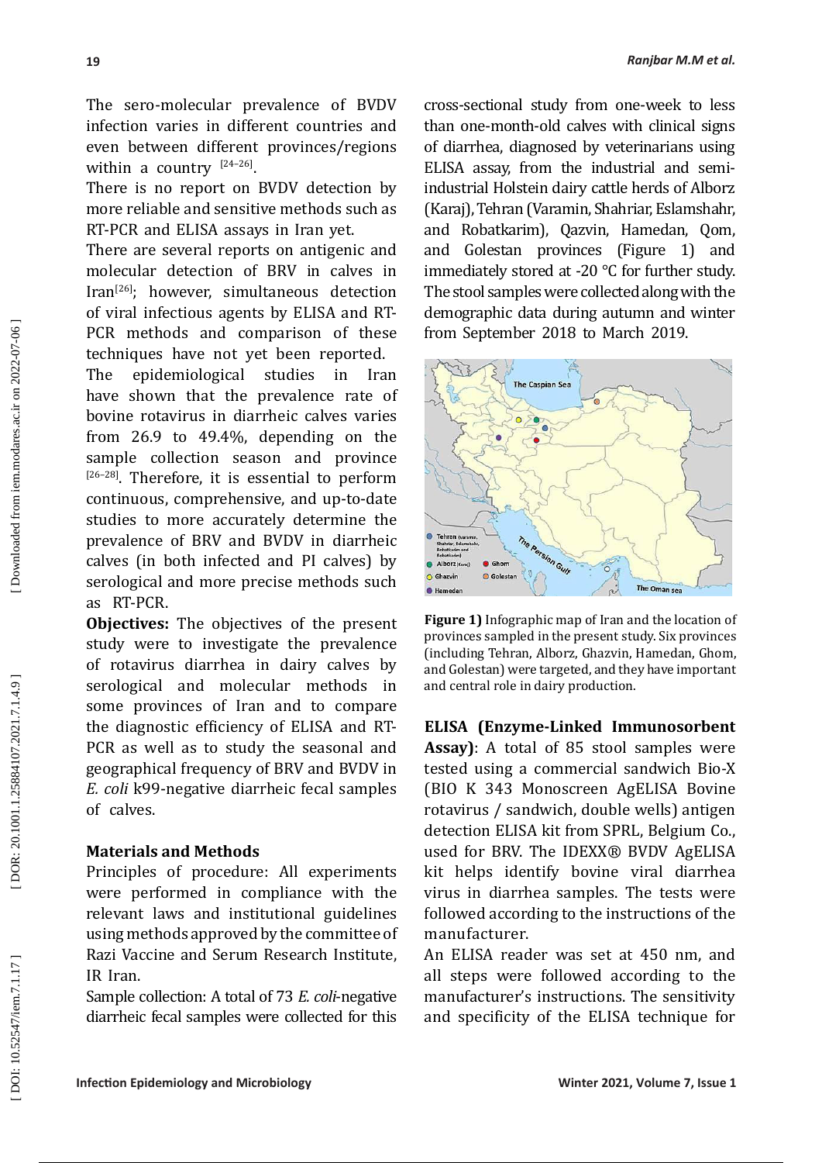The sero-molecular prevalence of BVDV infection varies in different countries and even between different provinces/regions within a country  $[24-26]$ .

There is no report on BVDV detection by more reliable and sensitive methods such as RT-PCR and ELISA assays in Iran yet.

There are several reports on antigenic and molecular detection of BRV in calves in Iran[26]; however, simultaneous detection of viral infectious agents by ELISA and RT-PCR methods and comparison of these techniques have not yet been reported.

The epidemiological studies in Iran have shown that the prevalence rate of bovine rotavirus in diarrheic calves varies from 26.9 to 49.4%, depending on the sample collection season and province [26-28]. Therefore, it is essential to perform continuous, comprehensive, and up-to-date studies to more accurately determine the prevalence of BRV and BVDV in diarrheic calves (in both infected and PI calves) by serological and more precise methods such as RT-PCR.

**Objectives:** The objectives of the present study were to investigate the prevalence of rotavirus diarrhea in dairy calves by serological and molecular methods in some provinces of Iran and to compare the diagnostic efficiency of ELISA and RT-PCR as well as to study the seasonal and geographical frequency of BRV and BVDV in *E. coli* k99-negative diarrheic fecal samples of calves.

# **Materials and Methods**

Principles of procedure: All experiments were performed in compliance with the relevant laws and institutional guidelines using methods approved by the committee of Razi Vaccine and Serum Research Institute, IR Iran.

Sample collection: A total of 73 *E. coli*-negative diarrheic fecal samples were collected for this cross-sectional study from one-week to less than one-month-old calves with clinical signs of diarrhea, diagnosed by veterinarians using ELISA assay, from the industrial and semiindustrial Holstein dairy cattle herds of Alborz (Karaj), Tehran (Varamin, Shahriar, Eslamshahr, and Robatkarim), Qazvin, Hamedan, Qom, and Golestan provinces (Figure 1) and immediately stored at -20 ℃ for further study. The stool samples were collected along with the demographic data during autumn and winter from September 2018 to March 2019.



**Figure 1)** Infographic map of Iran and the location of provinces sampled in the present study. Six provinces (including Tehran, Alborz, Ghazvin, Hamedan, Ghom, and Golestan) were targeted, and they have important and central role in dairy production.

**ELISA (Enzyme-Linked Immunosorbent Assay)**: A total of 85 stool samples were tested using a commercial sandwich Bio-X (BIO K 343 Monoscreen AgELISA Bovine rotavirus / sandwich, double wells) antigen detection ELISA kit from SPRL, Belgium Co., used for BRV. The IDEXX® BVDV AgELISA kit helps identify bovine viral diarrhea virus in diarrhea samples. The tests were followed according to the instructions of the manufacturer.

An ELISA reader was set at 450 nm, and all steps were followed according to the manufacturer's instructions. The sensitivity and specificity of the ELISA technique for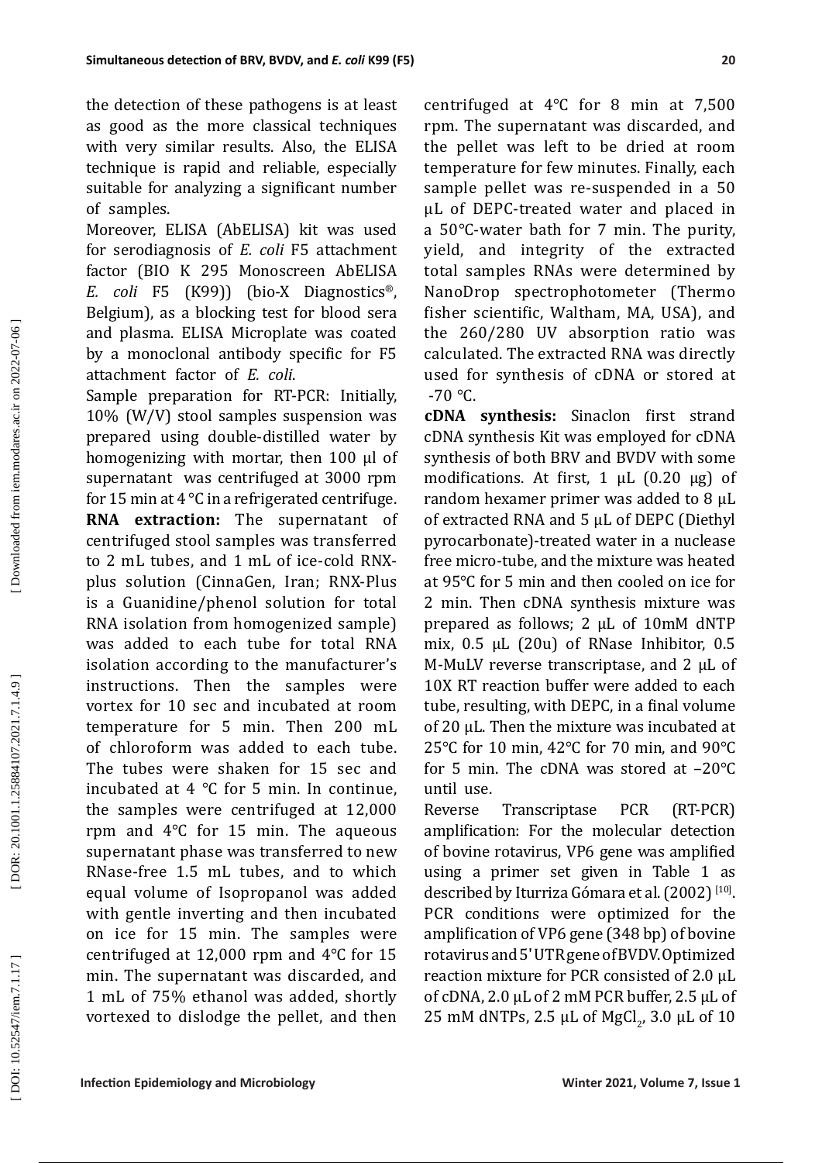the detection of these pathogens is at least as good as the more classical techniques with very similar results. Also, the ELISA technique is rapid and reliable, especially suitable for analyzing a significant number of samples.

Moreover, ELISA (AbELISA) kit was used for serodiagnosis of *E. coli* F5 attachment factor (BIO K 295 Monoscreen AbELISA *E. coli* F5 (K99)) (bio-X Diagnostics ®, Belgium), as a blocking test for blood sera and plasma. ELISA Microplate was coated by a monoclonal antibody specific for F5 attachment factor of *E. coli* .

Sample preparation for RT-PCR: Initially, 10% (W/V) stool samples suspension was prepared using double-distilled water by homogenizing with mortar, then 100 µl of supernatant was centrifuged at 3000 rpm for 15 min at 4 °C in a refrigerated centrifuge . **RNA extraction:** The supernatant of centrifuged stool samples was transferred to 2 mL tubes, and 1 mL of ice-cold RNXplus solution (CinnaGen, Iran; RNX-Plus is a Guanidine/phenol solution for total RNA isolation from homogenized sample) was added to each tube for total RNA isolation according to the manufacturer's instructions. Then the samples were vortex for 10 sec and incubated at room temperature for 5 min. Then 200 mL of chloroform was added to each tube. The tubes were shaken for 15 sec and incubated at 4 ℃ for 5 min. In continue, the samples were centrifuged at 12,000 rpm and 4 ℃ for 15 min. The aqueous supernatant phase was transferred to new RNase-free 1.5 mL tubes, and to which equal volume of Isopropanol was added with gentle inverting and then incubated on ice for 15 min. The samples were centrifuged at 12,000 rpm and 4 ℃ for 15 min. The supernatant was discarded, and 1 mL of 75% ethanol was added, shortly vortexed to dislodge the pellet, and then

centrifuged at 4 ℃ for 8 min at 7,500 rpm. The supernatant was discarded, and the pellet was left to be dried at room temperature for few minutes. Finally, each sample pellet was re -suspended in a 50 µL of DEPC-treated water and placed in a 50 ℃-water bath for 7 min. The purity, yield, and integrity of the extracted total samples RNAs were determined by NanoDrop spectrophotometer (Thermo fisher scientific, Waltham, MA, USA), and the 260/280 UV absorption ratio was calculated. The extracted RNA was directly used for synthesis of cDNA or stored at  $-70$  °C.

**cDNA synthesis:** Sinaclon first strand cDNA synthesis Kit was employed for cDNA synthesis of both BRV and BVDV with some modifications. At first,  $1 \mu L$  (0.20  $\mu$ g) of random hexamer primer was added to 8 μL of extracted RNA and 5 μL of DEPC (Diethyl pyrocarbonate)-treated water in a nuclease free micro-tube, and the mixture was heated at 95 ℃ for 5 min and then cooled on ice for 2 min. Then cDNA synthesis mixture was prepared as follows; 2 μL of 10mM dNTP mix, 0.5 μL (20u) of RNase Inhibitor, 0.5 Μ-MuLV reverse transcriptase, and 2 μL of 10X RT reaction buffer were added to each tube, resulting, with DEPC, in a final volume of 20 μL. Then the mixture was incubated at 25 ℃ for 10 min, 42 ℃ for 70 min, and 90 ℃ for 5 min. The cDNA was stored at –20 ℃ until use.

Reverse Transcriptase PCR (RT-PCR) amplification: For the molecular detection of bovine rotavirus, VP6 gene was amplified using a primer set given in Table 1 as described by Iturriza Gómara et al. (2002) <sup>[10]</sup>. PCR conditions were optimized for the amplification of VP6 gene (348 bp) of bovine rotavirus and 5ʹ UTR gene of BVDV. Optimized reaction mixture for PCR consisted of 2.0 µL of cDNA, 2.0 µL of 2 mM PCR buffer, 2.5 µL of 25 mM dNTPs, 2.5  $\mu$ L of MgCl<sub>2</sub>, 3.0  $\mu$ L of 10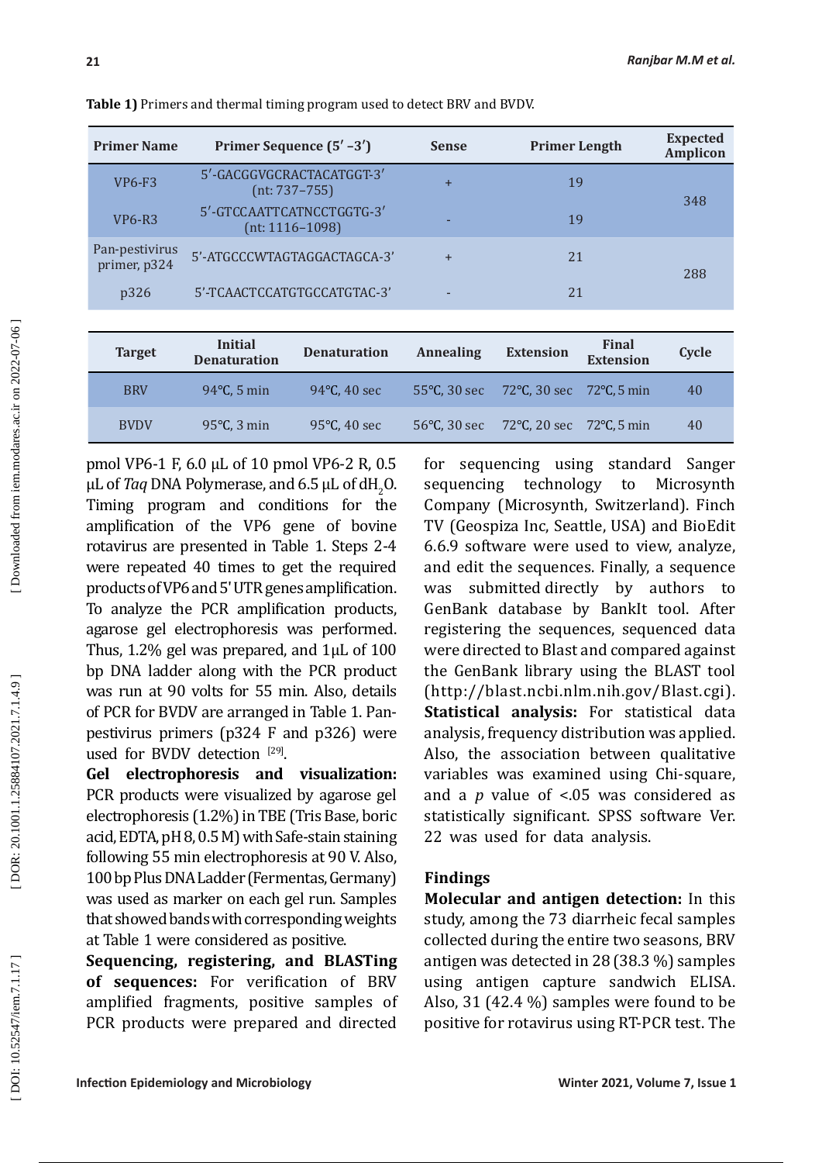| <b>Primer Name</b>             | Primer Sequence (5' -3')                       | <b>Sense</b> | <b>Primer Length</b> | <b>Expected</b><br><b>Amplicon</b> |  |
|--------------------------------|------------------------------------------------|--------------|----------------------|------------------------------------|--|
| VP6-F3                         | 5'-GACGGVGCRACTACATGGT-3'<br>$(nt: 737-755)$   | $+$          | 19                   | 348                                |  |
| $VP6-R3$                       | 5'-GTCCAATTCATNCCTGGTG-3'<br>$(nt: 1116-1098)$ |              | 19                   |                                    |  |
| Pan-pestivirus<br>primer, p324 | 5'-ATGCCCWTAGTAGGACTAGCA-3'                    | $+$          | 21                   | 288                                |  |
| p326                           | 5'-TCAACTCCATGTGCCATGTAC-3'                    |              | 21                   |                                    |  |

**Table 1)** Primers and thermal timing program used to detect BRV and BVDV.

| <b>Target</b> | Initial<br><b>Denaturation</b> | <b>Denaturation</b> | <b>Annealing</b> | <b>Extension</b>                         | Final<br><b>Extension</b> | Cycle |
|---------------|--------------------------------|---------------------|------------------|------------------------------------------|---------------------------|-------|
| <b>BRV</b>    | $94^{\circ}$ C, 5 min          | 94 $°C$ , 40 sec    |                  | 55°C, 30 sec 72°C, 30 sec 72°C, 5 min    |                           | 40    |
| <b>BVDV</b>   | $95^{\circ}$ C, 3 min          | 95 $°C$ , 40 sec    |                  | 56 °C, 30 sec 72 °C, 20 sec 72 °C, 5 min |                           | 40    |
|               |                                |                     |                  |                                          |                           |       |

pmol VP6-1 F, 6.0 µL of 10 pmol VP6-2 R, 0.5  $\mu$ L of *Taq* DNA Polymerase, and 6.5  $\mu$ L of dH<sub>2</sub>O. 2 Timing program and conditions for the amplification of the VP6 gene of bovine rotavirus are presented in Table 1. Steps 2-4 were repeated 40 times to get the required products of VP6 and 5ʹ UTR genes amplification. To analyze the PCR amplification products, agarose gel electrophoresis was performed. Thus, 1.2% gel was prepared, and 1μL of 100 bp DNA ladder along with the PCR product was run at 90 volts for 55 min. Also, details of PCR for BVDV are arranged in Table 1. Panpestivirus primers (p324 F and p326) were used for BVDV detection  $[29]$ .

**Gel electrophoresis and visualization:**  PCR products were visualized by agarose gel electrophoresis (1.2%) in TBE (Tris Base, boric acid, EDTA, pH 8, 0.5 M) with Safe-stain staining following 55 min electrophoresis at 90 V. Also, 100 bp Plus DNA Ladder (Fermentas, Germany) was used as marker on each gel run. Samples that showed bands with corresponding weights at Table 1 were considered as positive.

**Sequencing, registering, and BLASTing of sequences:** For verification of BRV amplified fragments, positive samples of PCR products were prepared and directed for sequencing using standard Sanger sequencing technology to Microsynth Company (Microsynth, Switzerland). Finch TV (Geospiza Inc, Seattle, USA) and BioEdit 6.6.9 software were used to view, analyze, and edit the sequences. Finally, a sequence was submitted directly by authors GenBank database by BankIt tool. After registering the sequences, sequenced data were directed to Blast and compared against<br>the GenBank library using the BLAST tool (<http://blast.ncbi.nlm.nih.gov/Blast.cgi>). **Statistical analysis:** For statistical data analysis, frequency distribution was applied. Also, the association between qualitative variables was examined using Chi-square, and a *p* value of <.05 was considered as statistically significant. SPSS software Ver. 22 was used for data analysis.

# **Findings**

**Molecular and antigen detection:** In this study, among the 73 diarrheic fecal samples collected during the entire two seasons, BRV antigen was detected in 28 (38.3 %) samples using antigen capture sandwich ELISA. Also, 31 (42.4 %) samples were found to be positive for rotavirus using RT-PCR test. The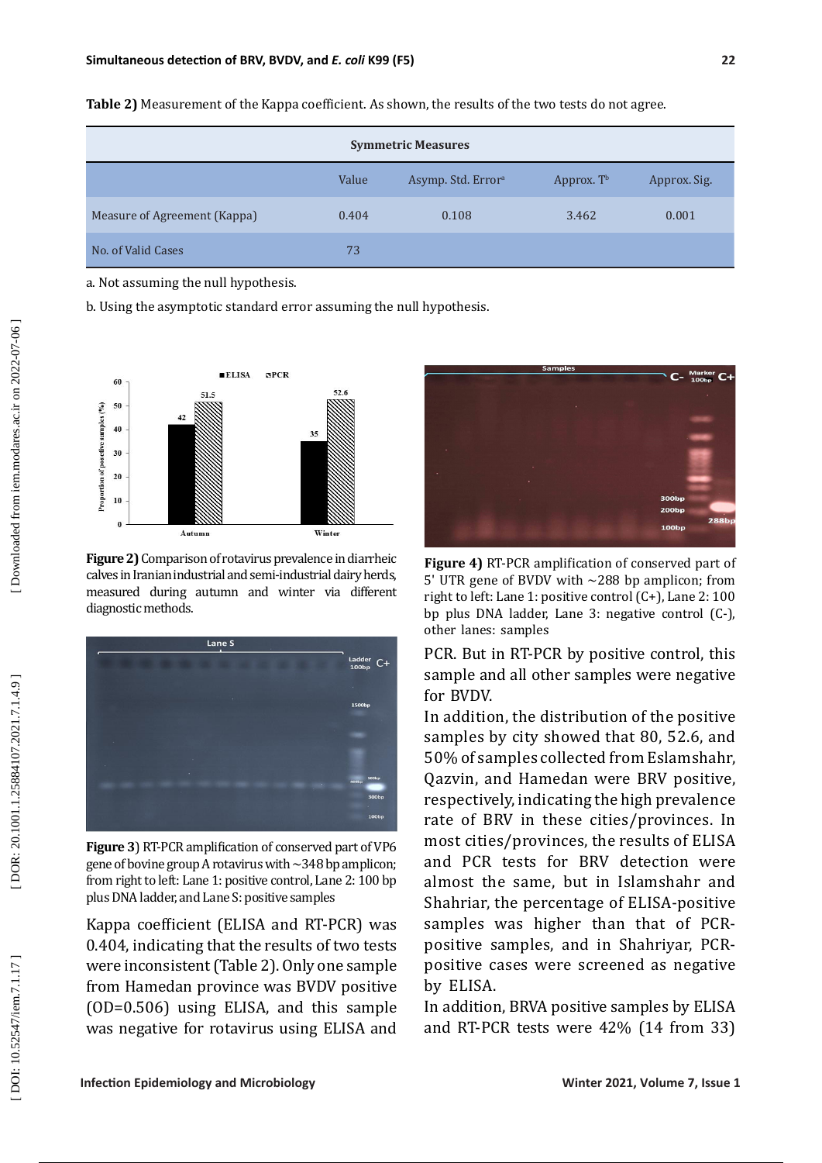| <b>Symmetric Measures</b>    |       |                                |                        |              |  |  |  |  |
|------------------------------|-------|--------------------------------|------------------------|--------------|--|--|--|--|
|                              | Value | Asymp. Std. Error <sup>a</sup> | Approx. T <sup>b</sup> | Approx. Sig. |  |  |  |  |
| Measure of Agreement (Kappa) | 0.404 | 0.108                          | 3.462                  | 0.001        |  |  |  |  |
| No. of Valid Cases           | 73    |                                |                        |              |  |  |  |  |

**Table 2)** Measurement of the Kappa coefficient. As shown, the results of the two tests do not agree.

a. Not assuming the null hypothesis.

b. Using the asymptotic standard error assuming the null hypothesis.



**Figure 2)** Comparison of rotavirus prevalence in diarrheic calves in Iranian industrial and semi-industrial dairy herds, measured during autumn and winter via different diagnostic methods.



**Figure 3**) RT-PCR amplification of conserved part of VP6 gene of bovine group A rotavirus with  $\sim$  348 bp amplicon; from right to left: Lane 1: positive control, Lane 2: 100 bp plus DNA ladder, and Lane S: positive samples

Kappa coefficient (ELISA and RT-PCR) was 0.404, indicating that the results of two tests were inconsistent (Table 2). Only one sample from Hamedan province was BVDV positive (OD=0.506) using ELISA, and this sample was negative for rotavirus using ELISA and



**Figure 4)** RT-PCR amplification of conserved part of 5' UTR gene of BVDV with  $\sim$ 288 bp amplicon; from right to left: Lane 1: positive control (C+), Lane 2: 100 bp plus DNA ladder, Lane 3: negative control (C-), other lanes: samples

PCR. But in RT-PCR by positive control, this sample and all other samples were negative for BVDV.

In addition, the distribution of the positive samples by city showed that 80, 52.6, and 50% of samples collected from Eslamshahr, Qazvin, and Hamedan were BRV positive, respectively, indicating the high prevalence rate of BRV in these cities/provinces. In most cities/provinces, the results of ELISA and PCR tests for BRV detection were almost the same, but in Islamshahr and Shahriar, the percentage of ELISA-positive samples was higher than that of PCRpositive samples, and in Shahriyar, PCRpositive cases were screened as negative by ELISA.

In addition, BRVA positive samples by ELISA and RT-PCR tests were 42% (14 from 33)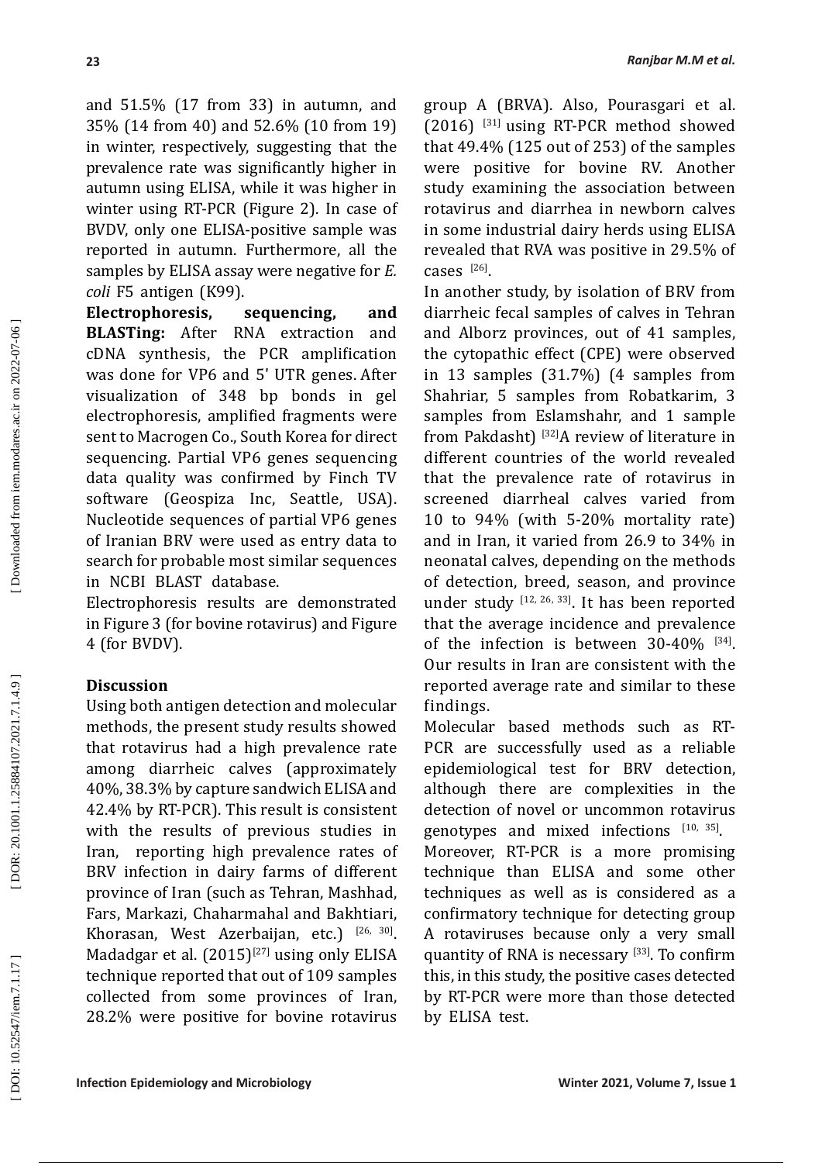and 51.5% (17 from 33) in autumn, and 35% (14 from 40) and 52.6% (10 from 19) in winter, respectively, suggesting that the prevalence rate was significantly higher in autumn using ELISA, while it was higher in winter using RT-PCR (Figure 2). In case of BVDV, only one ELISA-positive sample was reported in autumn. Furthermore, all the samples by ELISA assay were negative for *E. coli* F5 antigen (K99).

**Electrophoresis, sequencing, and BLASTing:** After RNA extraction and cDNA synthesis, the PCR amplification was done for VP6 and 5ʹ UTR genes. After visualization of 348 bp bonds in gel electrophoresis, amplified fragments were sent to Macrogen Co., South Korea for direct sequencing. Partial VP6 genes sequencing data quality was confirmed by Finch TV software (Geospiza Inc, Seattle, USA). Nucleotide sequences of partial VP6 genes of Iranian BRV were used as entry data to search for probable most similar sequences in NCBI BLAST database.

Electrophoresis results are demonstrated in Figure 3 (for bovine rotavirus) and Figure 4 (for BVDV).

# **Discussion**

Using both antigen detection and molecular methods, the present study results showed that rotavirus had a high prevalence rate among diarrheic calves (approximately 40%, 38.3% by capture sandwich ELISA and 42.4% by RT-PCR). This result is consistent with the results of previous studies in Iran, reporting high prevalence rates of BRV infection in dairy farms of different province of Iran (such as Tehran, Mashhad, Fars, Markazi, Chaharmahal and Bakhtiari, Khorasan, West Azerbaijan, etc.)  $[26, 30]$ . Madadgar et al.  $(2015)^{[27]}$  using only ELISA technique reported that out of 109 samples collected from some provinces of Iran, 28.2% were positive for bovine rotavirus

group A (BRVA). Also, Pourasgari et al.  $(2016)$  <sup>[31]</sup> using RT-PCR method showed that 49.4% (125 out of 253) of the samples were positive for bovine RV. Another study examining the association between rotavirus and diarrhea in newborn calves in some industrial dairy herds using ELISA revealed that RVA was positive in 29.5% of cases  $^{[26]}$ .

In another study, by isolation of BRV from diarrheic fecal samples of calves in Tehran and Alborz provinces, out of 41 samples, the cytopathic effect (CPE) were observed in 13 samples (31.7%) (4 samples from Shahriar, 5 samples from Robatkarim, 3 samples from Eslamshahr, and 1 sample from Pakdasht) [32]A review of literature in different countries of the world revealed that the prevalence rate of rotavirus in screened diarrheal calves varied from 10 to 94% (with 5-20% mortality rate) and in Iran, it varied from 26.9 to 34% in neonatal calves, depending on the methods of detection, breed, season, and province under study [12, 26, 33]. It has been reported that the average incidence and prevalence of the infection is between 30-40% [34]. Our results in Iran are consistent with the reported average rate and similar to these findings.

Molecular based methods such as RT-PCR are successfully used as a reliable epidemiological test for BRV detection, although there are complexities in the detection of novel or uncommon rotavirus genotypes and mixed infections  $[10, 35]$ . Moreover, RT-PCR is a more promising technique than ELISA and some other techniques as well as is considered as a confirmatory technique for detecting group A rotaviruses because only a very small quantity of RNA is necessary [33]. To confirm this, in this study, the positive cases detected by RT-PCR were more than those detected by ELISA test.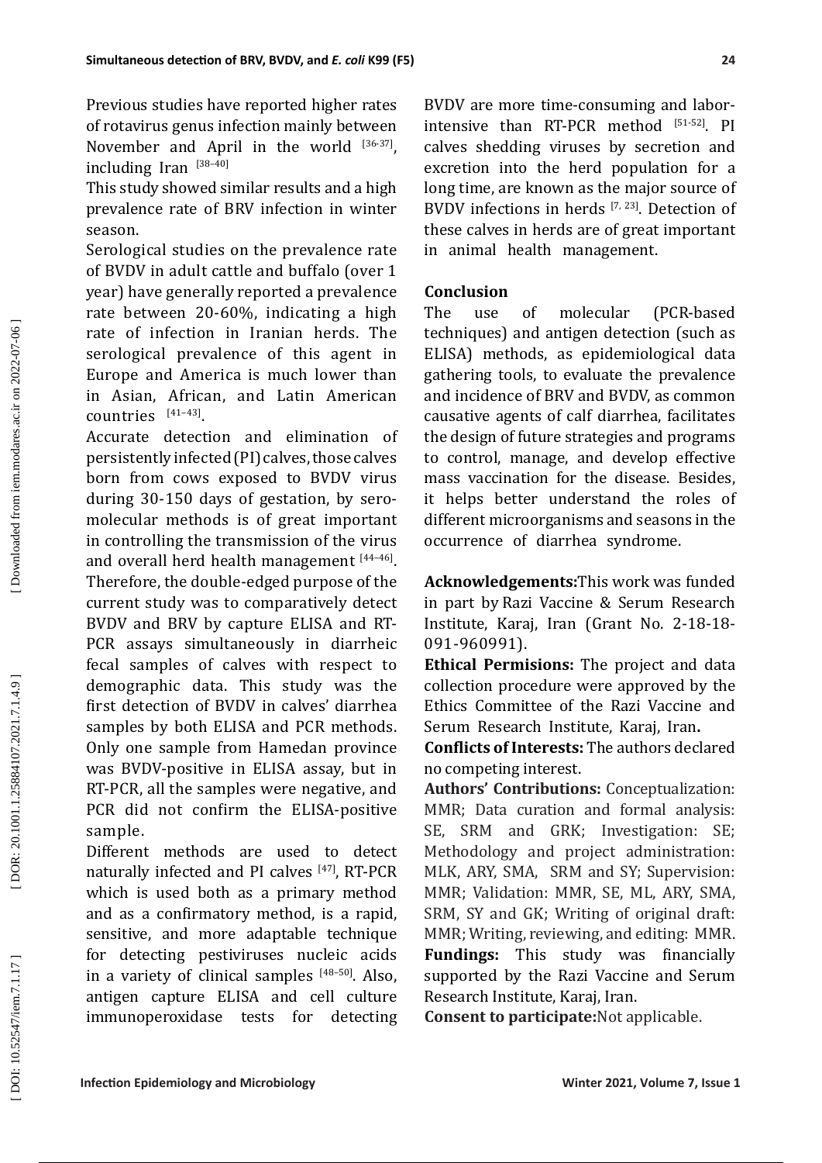Previous studies have reported higher rates of rotavirus genus infection mainly between November and April in the world  $[36-37]$ , including Iran [38–40]

This study showed similar results and a high prevalence rate of BRV infection in winter season.

Serological studies on the prevalence rate of BVDV in adult cattle and buffalo (over 1 year) have generally reported a prevalence rate between 20-60%, indicating a high rate of infection in Iranian herds. The serological prevalence of this agent in Europe and America is much lower than in Asian, African, and Latin American countries  $[41-43]$ .

Accurate detection and elimination of persistently infected (PI) calves, those calves born from cows exposed to BVDV virus during 30-150 days of gestation, by seromolecular methods is of great important in controlling the transmission of the virus and overall herd health management [44-46]. Therefore, the double-edged purpose of the current study was to comparatively detect BVDV and BRV by capture ELISA and RT-PCR assays simultaneously in diarrheic fecal samples of calves with respect to demographic data. This study was the first detection of BVDV in calves' diarrhea samples by both ELISA and PCR methods. Only one sample from Hamedan province was BVDV-positive in ELISA assay, but in RT-PCR, all the samples were negative, and PCR did not confirm the ELISA-positive sample.

Different methods are used to detect naturally infected and PI calves [47], RT-PCR which is used both as a primary method and as a confirmatory method, is a rapid, sensitive, and more adaptable technique for detecting pestiviruses nucleic acids in a variety of clinical samples [48–50]. Also, antigen capture ELISA and cell culture immunoperoxidase tests for detecting

BVDV are more time-consuming and laborintensive than RT-PCR method [51-52]. PI calves shedding viruses by secretion and excretion into the herd population for a long time, are known as the major source of BVDV infections in herds  $[7, 23]$ . Detection of these calves in herds are of great important in animal health management.

# **Conclusion**

The use of molecular (PCR-based techniques) and antigen detection (such as ELISA) methods, as epidemiological data gathering tools, to evaluate the prevalence and incidence of BRV and BVDV, as common causative agents of calf diarrhea, facilitates the design of future strategies and programs to control, manage, and develop effective mass vaccination for the disease. Besides, it helps better understand the roles of different microorganisms and seasons in the occurrence of diarrhea syndrome.

**Acknowledgements:**This work was funded in part by Razi Vaccine & Serum Research Institute, Karaj, Iran (Grant No. 2-18-18- 091-960991).

**Ethical Permisions:** The project and data collection procedure were approved by the Ethics Committee of the Razi Vaccine and Serum Research Institute, Karaj, Iran **.**

**Conflicts of Interests:** The authors declared no competing interest.

**Authors' Contributions:** Conceptualization: MMR; Data curation and formal analysis: SE, SRM and GRK; Investigation: SE; Methodology and project administration: MLK, ARY, SMA, SRM and SY; Supervision: MMR; Validation: MMR, SE, ML, ARY, SMA, SRM, SY and GK; Writing of original draft: MMR; Writing, reviewing, and editing: MMR. **Fundings:** This study was financially supported by the Razi Vaccine and Serum Research Institute, Karaj, Iran.

**Consent to participate:**Not applicable.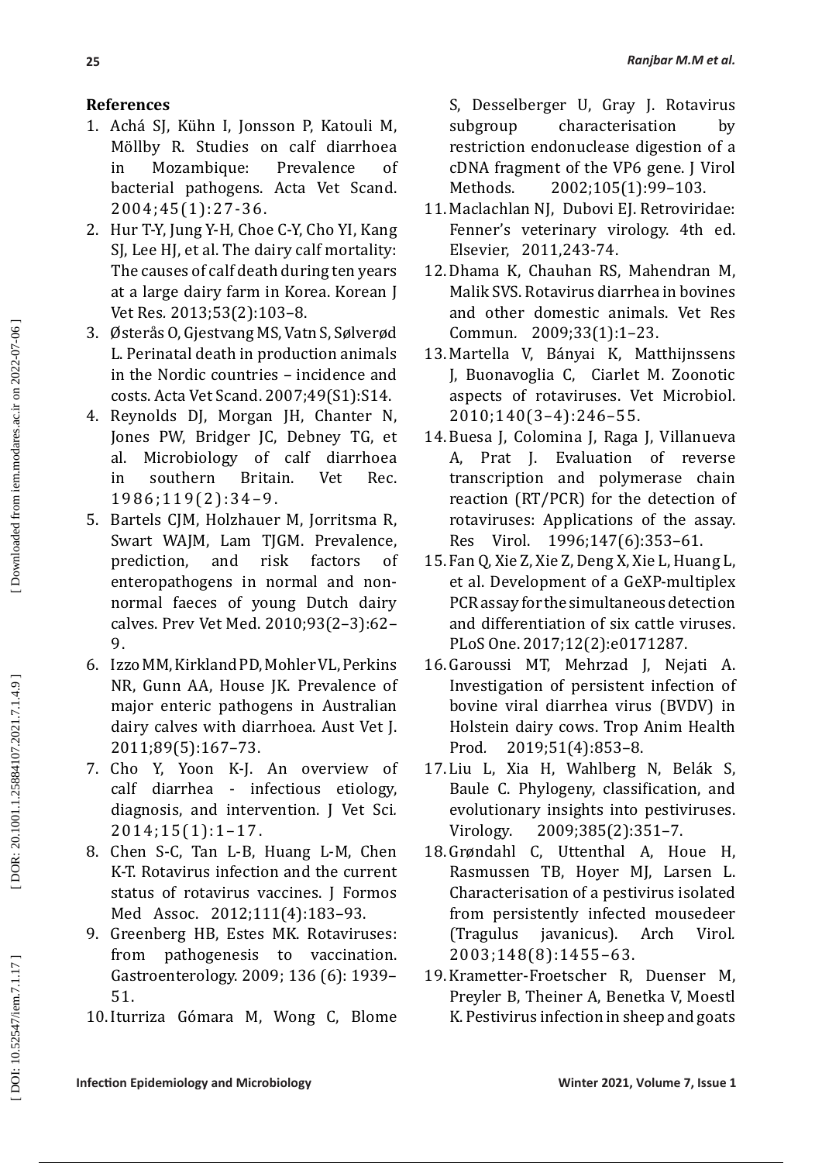# **References**

- 1. Achá SJ, Kühn I, Jonsson P, Katouli M, Möllby R. Studies on calf diarrhoea in Mozambique: Prevalence of bacterial pathogens. Acta Vet Scand. 2004;45(1):27-36.
- 2. Hur T-Y, Jung Y-H, Choe C-Y, Cho YI, Kang SJ, Lee HJ, et al. The dairy calf mortality: The causes of calf death during ten years at a large dairy farm in Korea. Korean J Vet Res *.* 2013;53(2):103–8.
- 3. Østerås O, Gjestvang MS, Vatn S, Sølverød L. Perinatal death in production animals in the Nordic countries – incidence and costs. Acta Vet Scand. 2007;49(S1):S14.
- 4. Reynolds DJ, Morgan JH, Chanter N, Jones PW, Bridger JC, Debney TG, et al. Microbiology of calf diarrhoea in southern Britain. Vet Rec. 1986;119(2):34–9.
- 5. Bartels CJM, Holzhauer M, Jorritsma R, Swart WAJM, Lam TJGM. Prevalence, prediction, and risk factors of enteropathogens in normal and nonnormal faeces of young Dutch dairy calves. Prev Vet Med. 2010;93(2–3):62– 9.
- 6. Izzo MM, Kirkland PD, Mohler VL, Perkins NR, Gunn AA, House JK. Prevalence of major enteric pathogens in Australian dairy calves with diarrhoea. Aust Vet J. 2011;89(5):167–73.
- 7. Cho Y, Yoon K-J. An overview of calf diarrhea - infectious etiology, diagnosis, and intervention. J Vet Sci. *.* 2014;15(1):1–17.
- 8. Chen S-C, Tan L-B, Huang L-M, Chen K-T. Rotavirus infection and the current status of rotavirus vaccines. J Formos Med Assoc. 2012;111(4):183–93.
- 9. Greenberg HB, Estes MK. Rotaviruses: from pathogenesis to vaccination. Gastroenterology. 2009; 136 (6): 1939– 51.
- 10.Iturriza Gómara M, Wong C, Blome

S, Desselberger U, Gray J. Rotavirus subgroup characterisation by restriction endonuclease digestion of a cDNA fragment of the VP6 gene. J Virol<br>Methods. 2002;105(1):99-103. 2002;105(1):99-103.

- 11. Maclachlan NJ, Dubovi EJ. Retroviridae: Fenner's veterinary virology. 4th ed. Elsevier, 2011,243-74.
- 12.Dhama K, Chauhan RS, Mahendran M, Malik SVS. Rotavirus diarrhea in bovines and other domestic animals. Vet Res Commun *.* 2009;33(1):1–23.
- 13. Martella V, Bányai K, Matthijnssens J, Buonavoglia C, Ciarlet M. Zoonotic aspects of rotaviruses. Vet Microbiol. 2010;140(3–4):246–55.
- 14. Buesa J, Colomina J, Raga J, Villanueva A, Prat J. Evaluation of reverse transcription and polymerase chain reaction (RT/PCR) for the detection of rotaviruses: Applications of the assay. Res Virol. 1996;147(6):353–61.
- 15. Fan Q, Xie Z, Xie Z, Deng X, Xie L, Huang L, et al. Development of a GeXP-multiplex PCR assay for the simultaneous detection and differentiation of six cattle viruses. PLoS One. 2017;12(2):e0171287.
- 16. Garoussi MT, Mehrzad J, Nejati A. Investigation of persistent infection of bovine viral diarrhea virus (BVDV) in Holstein dairy cows. Trop Anim Health Prod *.* 2019;51(4):853–8.
- 17. Liu L, Xia H, Wahlberg N, Belák S, Baule C. Phylogeny, classification, and evolutionary insights into pestiviruses. Virology. 2009;385(2):351–7.
- 18. Grøndahl C, Uttenthal A, Houe H, Rasmussen TB, Hoyer MJ, Larsen L. Characterisation of a pestivirus isolated from persistently infected mousedeer (Tragulus javanicus). Arch Virol *.* 2003;148(8):1455–63.
- 19.Krametter-Froetscher R, Duenser M, Preyler B, Theiner A, Benetka V, Moestl K. Pestivirus infection in sheep and goats

[DOR: 20.1001.1.25884107.2021.7.1.4.9]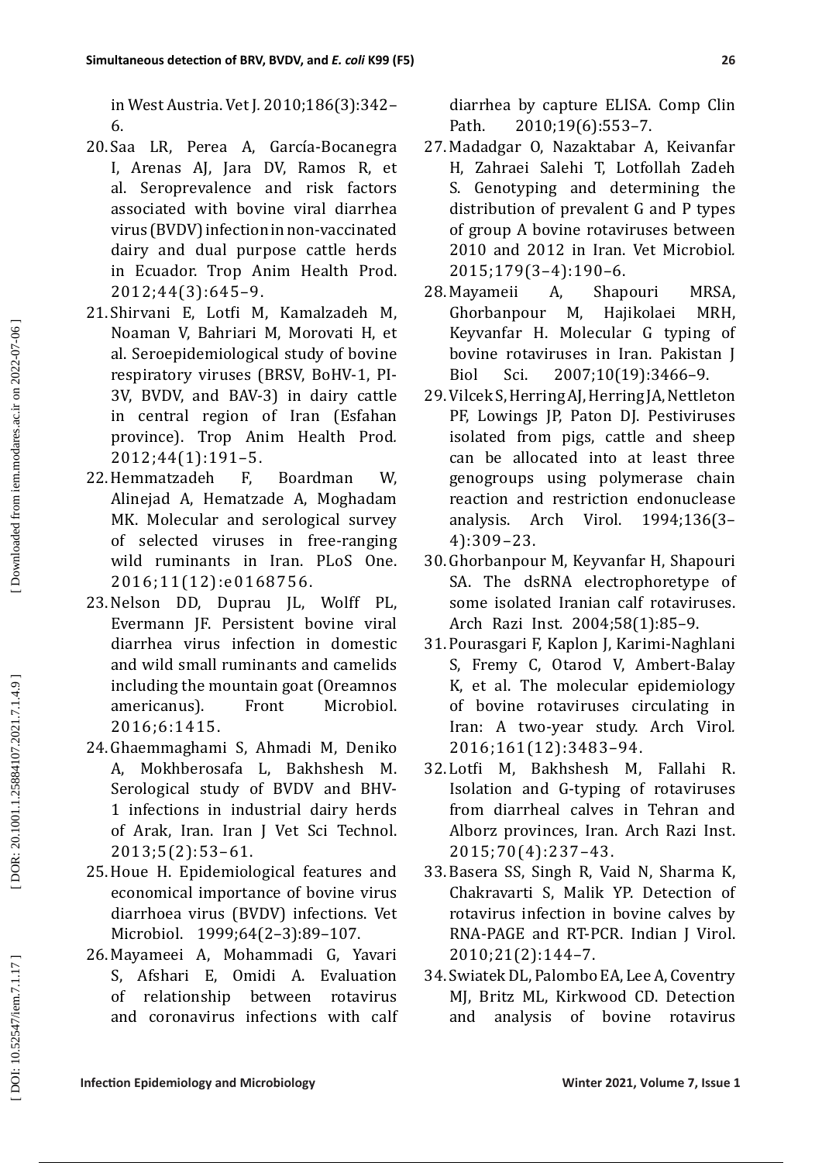in West Austria. Vet J *.* 2010;186(3):342– 6.

- 20. Saa LR, Perea A, García-Bocanegra I, Arenas AJ, Jara DV, Ramos R, et al. Seroprevalence and risk factors associated with bovine viral diarrhea virus (BVDV) infection in non-vaccinated dairy and dual purpose cattle herds in Ecuador. Trop Anim Health Prod. 2012;44(3):645–9.
- 21. Shirvani E, Lotfi M, Kamalzadeh M, Noaman V, Bahriari M, Morovati H, et al. Seroepidemiological study of bovine respiratory viruses (BRSV, BoHV-1, PI-3V, BVDV, and BAV-3) in dairy cattle in central region of Iran (Esfahan province). Trop Anim Health Prod *.* 2012;44(1):191–5.
- 22.Hemmatzadeh F, Boardman W, Alinejad A, Hematzade A, Moghadam MK. Molecular and serological survey of selected viruses in free-ranging wild ruminants in Iran. PLoS One. 2016;11(12):e0168756.
- 23.Nelson DD, Duprau JL, Wolff PL, Evermann JF. Persistent bovine viral diarrhea virus infection in domestic and wild small ruminants and camelids including the mountain goat (Oreamnos<br>americanus). Front Microbiol. americanus). 2016;6:1415.
- 24. Ghaemmaghami S, Ahmadi M, Deniko A, Mokhberosafa L, Bakhshesh M. Serological study of BVDV and BHV-1 infections in industrial dairy herds of Arak, Iran. Iran J Vet Sci Technol. 2013;5(2):53–61.
- 25.Houe H. Epidemiological features and economical importance of bovine virus diarrhoea virus (BVDV) infections. Vet Microbiol. 1999;64(2–3):89–107.
- 26. Mayameei A, Mohammadi G, Yavari S, Afshari E, Omidi A. Evaluation of relationship between rotavirus and coronavirus infections with calf

diarrhea by capture ELISA. Comp Clin Path. 2010;19(6):553-7.

- 27. Madadgar O, Nazaktabar A, Keivanfar H, Zahraei Salehi T, Lotfollah Zadeh S. Genotyping and determining the distribution of prevalent G and P types of group A bovine rotaviruses between 2010 and 2012 in Iran. Vet Microbiol *.* 2015;179(3–4):190–6.
- 28. Mayameii A, Shapouri MRSA, Ghorbanpour M, Hajikolaei MRH, Keyvanfar H. Molecular G typing of bovine rotaviruses in Iran. Pakistan J<br>Biol Sci. 2007:10(19):3466-9. Biol Sci. 2007;10(19):3466–9.
- 29. Vilcek S, Herring AJ, Herring JA, Nettleton PF, Lowings JP, Paton DJ. Pestiviruses isolated from pigs, cattle and sheep can be allocated into at least three genogroups using polymerase chain reaction and restriction endonuclease analysis. Arch Virol. 1994;136(3– 4):309–23.
- 30. Ghorbanpour M, Keyvanfar H, Shapouri SA. The dsRNA electrophoretype of some isolated Iranian calf rotaviruses. Arch Razi Inst *.* 2004;58(1):85–9.
- 31. Pourasgari F, Kaplon J, Karimi-Naghlani S, Fremy C, Otarod V, Ambert-Balay K, et al. The molecular epidemiology of bovine rotaviruses circulating in Iran: A two-year study. Arch Virol *.* 2016;161(12):3483–94.
- 32. Lotfi M, Bakhshesh M, Fallahi R. Isolation and G-typing of rotaviruses from diarrheal calves in Tehran and Alborz provinces, Iran. Arch Razi Inst. 2015;70(4):237–43.
- 33. Basera SS, Singh R, Vaid N, Sharma K, Chakravarti S, Malik YP. Detection of rotavirus infection in bovine calves by RNA-PAGE and RT-PCR. Indian J Virol. 2010;21(2):144–7.
- 34. Swiatek DL, Palombo EA, Lee A, Coventry MJ, Britz ML, Kirkwood CD. Detection and analysis of bovine rotavirus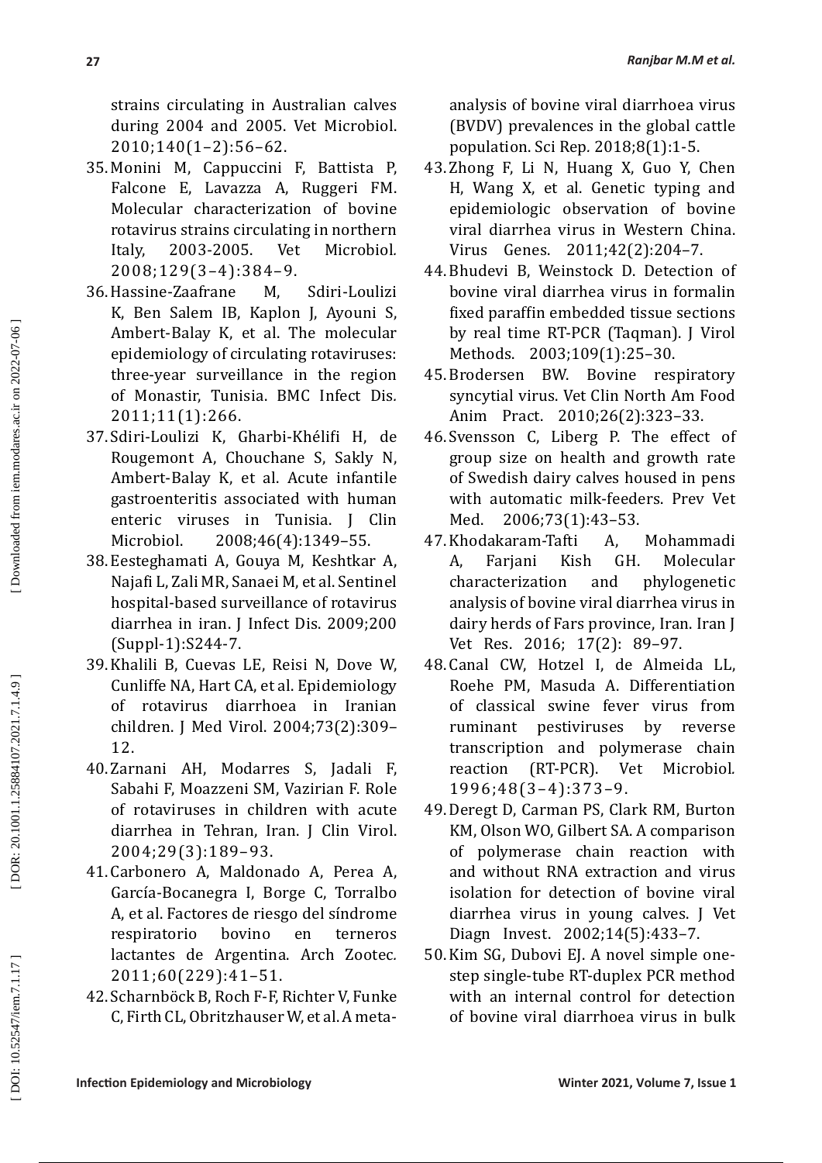strains circulating in Australian calves during 2004 and 2005. Vet Microbiol. 2010;140(1–2):56–62.

- 35. Monini M, Cappuccini F, Battista P, Falcone E, Lavazza A, Ruggeri FM. Molecular characterization of bovine rotavirus strains circulating in northern<br>Italy. 2003-2005. Vet Microbiol. Italy, 2003-2005. *.* 2008;129(3–4):384–9.
- 36.Hassine-Zaafrane M, Sdiri-Loulizi K, Ben Salem IB, Kaplon J, Ayouni S, Ambert-Balay K, et al. The molecular epidemiology of circulating rotaviruses: three-year surveillance in the region of Monastir, Tunisia. BMC Infect Dis *.* 2011;11(1):266.
- 37. Sdiri-Loulizi K, Gharbi-Khélifi H, de Rougemont A, Chouchane S, Sakly N, Ambert-Balay K, et al. Acute infantile gastroenteritis associated with human enteric viruses in Tunisia. J Clin Microbiol. 2008;46(4):1349–55.
- 38. Eesteghamati A, Gouya M, Keshtkar A, Najafi L, Zali MR, Sanaei M, et al. Sentinel hospital-based surveillance of rotavirus diarrhea in iran. J Infect Dis. 2009;200 (Suppl-1):S244-7.
- 39.Khalili B, Cuevas LE, Reisi N, Dove W, Cunliffe NA, Hart CA, et al. Epidemiology of rotavirus diarrhoea in Iranian children. J Med Virol. 2004;73(2):309– 12.
- 40. Zarnani AH, Modarres S, Jadali F, Sabahi F, Moazzeni SM, Vazirian F. Role of rotaviruses in children with acute diarrhea in Tehran, Iran. J Clin Virol. 2004;29(3):189–93.
- 41. Carbonero A, Maldonado A, Perea A, García-Bocanegra I, Borge C, Torralbo A, et al. Factores de riesgo del síndrome respiratorio bovino en terneros lactantes de Argentina. Arch Zootec *.* 2011;60(229):41–51.
- 42. Scharnböck B, Roch F-F, Richter V, Funke C, Firth CL, Obritzhauser W, et al. A meta-

analysis of bovine viral diarrhoea virus (BVDV) prevalences in the global cattle population. Sci Rep *.* 2018;8(1):1-5.

- 43. Zhong F, Li N, Huang X, Guo Y, Chen H, Wang X, et al. Genetic typing and epidemiologic observation of bovine viral diarrhea virus in Western China. Virus Genes. 2011;42(2):204–7.
- 44. Bhudevi B, Weinstock D. Detection of bovine viral diarrhea virus in formalin fixed paraffin embedded tissue sections by real time RT-PCR (Taqman). J Virol Methods. 2003;109(1):25–30.
- 45. Brodersen BW. Bovine respiratory syncytial virus. Vet Clin North Am Food Anim Pract. 2010;26(2):323–33.
- 46. Svensson C, Liberg P. The effect of group size on health and growth rate of Swedish dairy calves housed in pens with automatic milk-feeders. Prev Vet<br>Med. 2006;73(1):43-53. Med. 2006;73(1):43–53.
- 47.Khodakaram-Tafti A, Mohammadi A, Farjani Kish GH. Molecular characterization analysis of bovine viral diarrhea virus in dairy herds of Fars province, Iran. Iran J Vet Res. 2016; 17(2): 89–97.
- 48. Canal CW, Hotzel I, de Almeida LL, Roehe PM, Masuda A. Differentiation of classical swine fever virus from ruminant pestiviruses by reverse transcription and polymerase chain<br>reaction (RT-PCR). Vet Microbiol. reaction (RT-PCR). Vet *.* 1996;48(3–4):373–9.
- 49.Deregt D, Carman PS, Clark RM, Burton KM, Olson WO, Gilbert SA. A comparison of polymerase chain reaction with and without RNA extraction and virus isolation for detection of bovine viral diarrhea virus in young calves. J Vet Diagn Invest. 2002;14(5):433–7.
- 50.Kim SG, Dubovi EJ. A novel simple onestep single-tube RT-duplex PCR method with an internal control for detection of bovine viral diarrhoea virus in bulk

[DOR: 20.1001.1.25884107.2021.7.1.4.9]